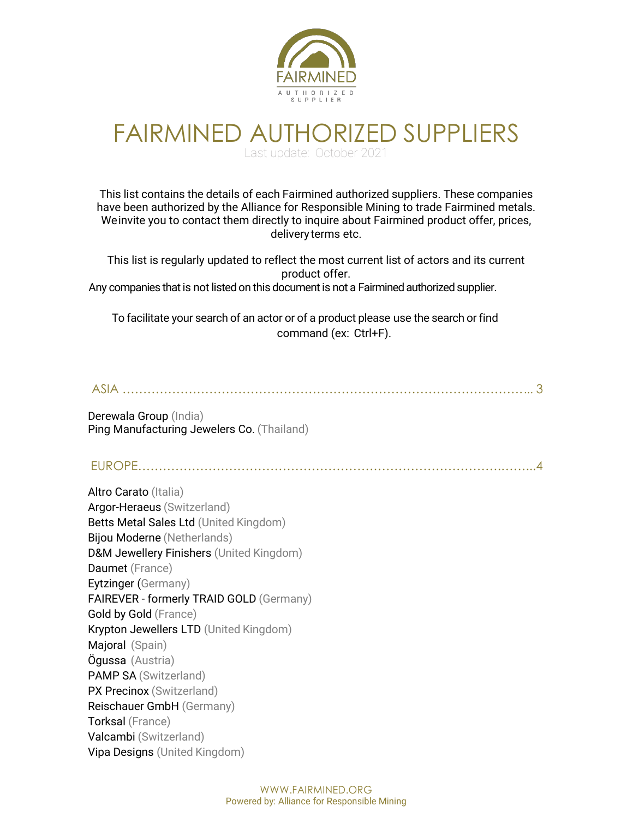

## FAIRMINED AUTHORIZED SUPPLIERS Last update: October 2021

This list contains the details of each Fairmined authorized suppliers. These companies have been authorized by the Alliance for Responsible Mining to trade Fairmined metals. Weinvite you to contact them directly to inquire about Fairmined product offer, prices, deliveryterms etc.

This list is regularly updated to reflect the most current list of actors and its current product offer. Any companies that is not listed on this document is not a Fairmined authorized supplier.

To facilitate your search of an actor or of a product please use the search or find command (ex: Ctrl+F).

#### ASIA …………………………………………………………………………………….... 3

Derewala Group (India) Ping Manufacturing Jewelers Co. (Thailand)

EUROPE…………………………………………………………………………….……...4

Altro Carato (Italia) Argor-Heraeus (Switzerland) Betts Metal Sales Ltd (United Kingdom) Bijou Moderne (Netherlands) D&M Jewellery Finishers (United Kingdom) Daumet (France) Eytzinger (Germany) FAIREVER - formerly TRAID GOLD (Germany) Gold by Gold (France) Krypton Jewellers LTD (United Kingdom) Majoral (Spain) Ögussa (Austria) PAMP SA (Switzerland) PX Precinox (Switzerland) Reischauer GmbH (Germany) Torksal (France) Valcambi (Switzerland) Vipa Designs (United Kingdom)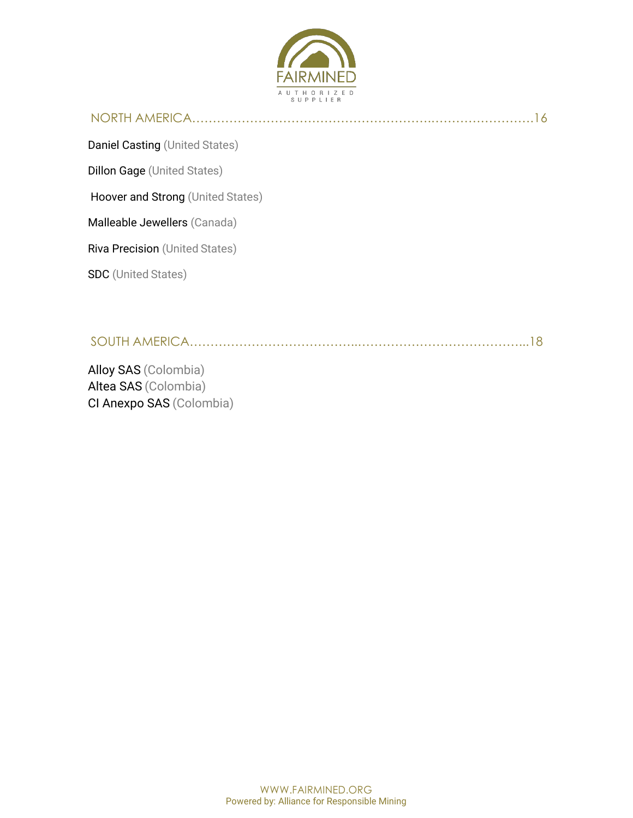

## NORTH AMERICA………………………………………………….…………………….16

Daniel Casting (United States)

Dillon Gage (United States)

Hoover and Strong (United States)

Malleable Jewellers (Canada)

Riva Precision (United States)

SDC (United States)

SOUTH AMERICA…………………………………..…………………………………...18

Alloy SAS (Colombia) Altea SAS (Colombia) CI Anexpo SAS (Colombia)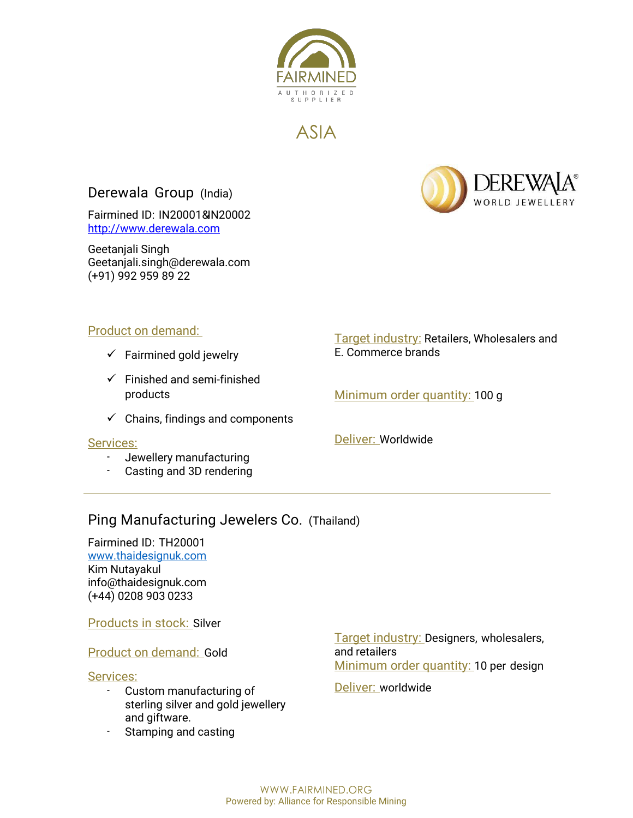

ASIA

## Derewala Group (India)

Fairmined ID: IN20001& IN20002 http://www.derewala.com

Geetanjali Singh Geetanjali.singh@derewala.com (+91) 992 959 89 22



#### Product on demand:

- $\checkmark$  Fairmined gold jewelry
- $\checkmark$  Finished and semi-finished products
- $\checkmark$  Chains, findings and components

#### Services:

- Jewellery manufacturing
- Casting and 3D rendering

#### **Target industry: Retailers, Wholesalers and** E. Commerce brands

Minimum order quantity: 100 g

Deliver: Worldwide

## Ping Manufacturing Jewelers Co. (Thailand)

Fairmined ID: TH20001 www.thaidesignuk.com Kim Nutayakul info@thaidesignuk.com (+44) 0208 903 0233

Products in stock: Silver

Product on demand: Gold

#### Services:

- Custom manufacturing of sterling silver and gold jewellery and giftware.
- Stamping and casting

Target industry: Designers, wholesalers, and retailers Minimum order quantity: 10 per design

Deliver: worldwide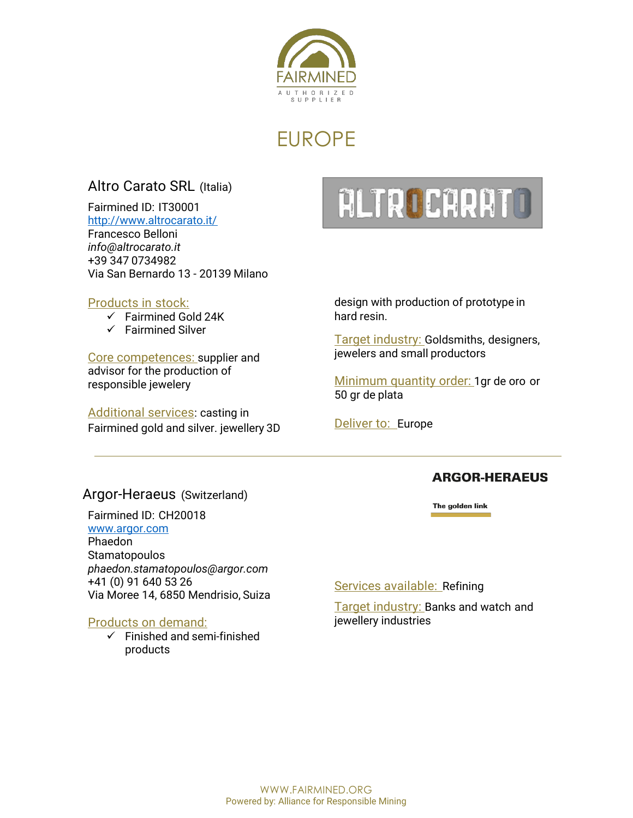

## EUROPE

## Altro Carato SRL (Italia)

Fairmined ID: IT30001 http://www.altrocarato.it/ Francesco Belloni *info@altrocarato.it* +39 347 0734982 Via San Bernardo 13 - 20139 Milano

#### Products in stock:

- $\checkmark$  Fairmined Gold 24K
- $\checkmark$  Fairmined Silver

Core competences: supplier and advisor for the production of responsible jewelery

Additional services: casting in Fairmined gold and silver. jewellery 3D



design with production of prototype in hard resin.

Target industry: Goldsmiths, designers, jewelers and small productors

Minimum quantity order: 1gr de oro or 50 gr de plata

Deliver to: Europe

#### **ARGOR-HERAEUS**

The golden link

#### Argor-Heraeus (Switzerland)

Fairmined ID: CH20018 www.argor.com Phaedon **Stamatopoulos** *phaedon.stamatopoulos@argor.com* +41 (0) 91 640 53 26 Via Moree 14, 6850 Mendrisio, Suiza

#### Products on demand:

 $\checkmark$  Finished and semi-finished products

Services available: Refining

Target industry: Banks and watch and jewellery industries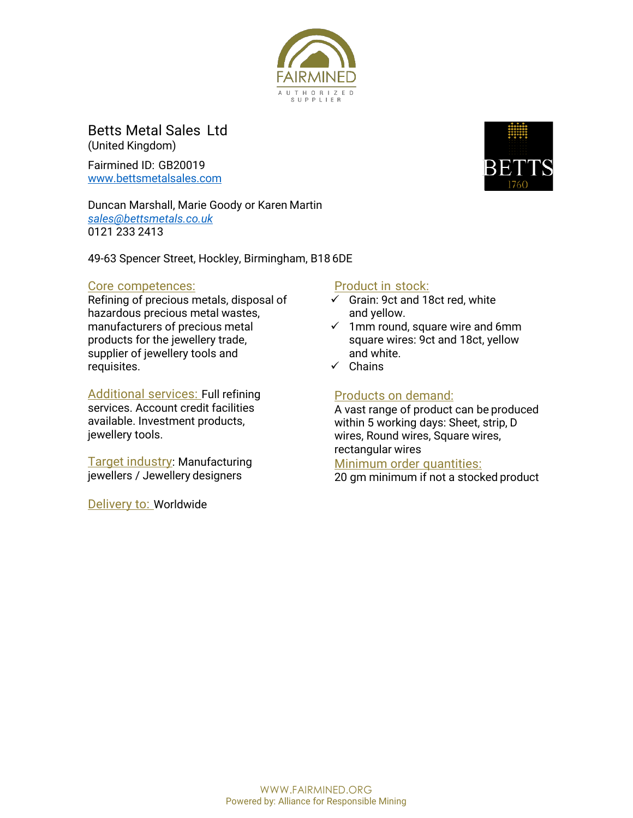

Betts Metal Sales Ltd (United Kingdom)

Fairmined ID: GB20019 www.bettsmetalsales.com

Duncan Marshall, Marie Goody or Karen Martin *sales@bettsmetals.co.uk* 0121 233 2413

49-63 Spencer Street, Hockley, Birmingham, B18 6DE

#### Core competences:

Refining of precious metals, disposal of hazardous precious metal wastes, manufacturers of precious metal products for the jewellery trade, supplier of jewellery tools and requisites.

Additional services: Full refining services. Account credit facilities available. Investment products, jewellery tools.

Target industry: Manufacturing jewellers / Jewellery designers

Delivery to: Worldwide

## Product in stock:

- $\checkmark$  Grain: 9ct and 18ct red, white and yellow.
- $\checkmark$  1mm round, square wire and 6mm square wires: 9ct and 18ct, yellow and white.
- $\checkmark$  Chains

## Products on demand:

A vast range of product can be produced within 5 working days: Sheet, strip, D wires, Round wires, Square wires, rectangular wires

Minimum order quantities:

20 gm minimum if not a stocked product

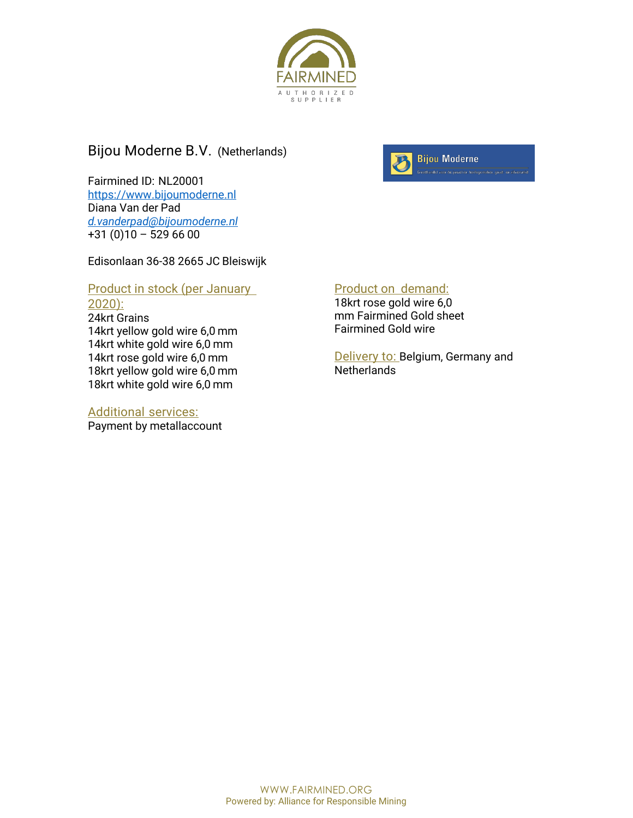

#### Bijou Moderne B.V. (Netherlands)

Fairmined ID: NL20001 https://www.bijoumoderne.nl Diana Van der Pad *d.vanderpad@bijoumoderne.nl* +31 (0)10 – 529 66 00

Edisonlaan 36-38 2665 JC Bleiswijk

#### **Product in stock (per January** 2020):

24krt Grains 14krt yellow gold wire 6,0 mm 14krt white gold wire 6,0 mm 14krt rose gold wire 6,0 mm 18krt yellow gold wire 6,0 mm 18krt white gold wire 6,0 mm

#### Additional services:

Payment by metallaccount



#### Product on demand:

18krt rose gold wire 6,0 mm Fairmined Gold sheet Fairmined Gold wire

Delivery to: Belgium, Germany and **Netherlands**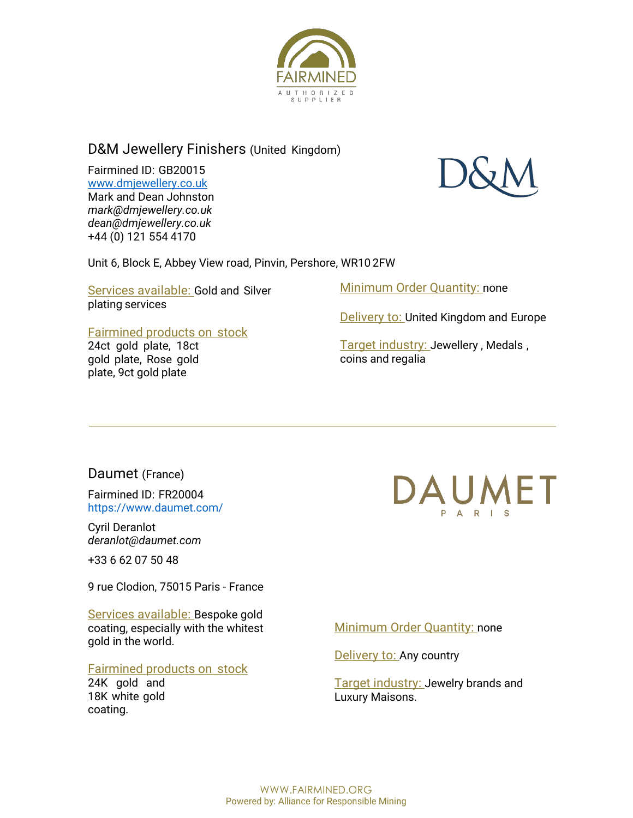

#### D&M Jewellery Finishers (United Kingdom)

Fairmined ID: GB20015 www.dmjewellery.co.uk Mark and Dean Johnston *mark@dmjewellery.co.uk dean@dmjewellery.co.uk* +44 (0) 121 554 4170



#### Unit 6, Block E, Abbey View road, Pinvin, Pershore, WR10 2FW

Services available: Gold and Silver plating services

#### Fairmined products on stock

24ct gold plate, 18ct gold plate, Rose gold plate, 9ct gold plate

Minimum Order Quantity: none

**Delivery to: United Kingdom and Europe** 

Target industry: Jewellery, Medals, coins and regalia

#### Daumet (France)

Fairmined ID: FR20004 https://www.daumet.com/

Cyril Deranlot *deranlot@daumet.com*

+33 6 62 07 50 48

9 rue Clodion, 75015 Paris - France

Services available: Bespoke gold coating, especially with the whitest gold in the world.

#### Fairmined products on stock

24K gold and 18K white gold coating.



#### Minimum Order Quantity: none

Delivery to: Any country

Target industry: Jewelry brands and Luxury Maisons.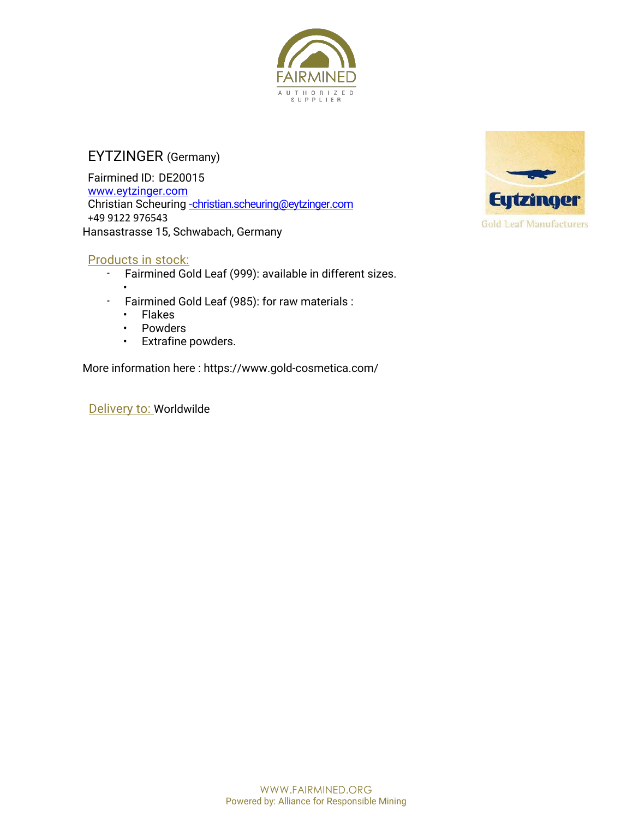

## EYTZINGER (Germany)

Fairmined ID: DE20015 www.eytzinger.com Christian Scheuring -christian.scheuring@eytzinger.com +49 9122 976543 Hansastrasse 15, Schwabach, Germany

#### Products in stock:

- Fairmined Gold Leaf (999): available in different sizes.
- - Fairmined Gold Leaf (985): for raw materials :
	- Flakes
	- Powders
	- Extrafine powders.

More information here : https://www.gold-cosmetica.com/

Delivery to: Worldwilde



**Gold Leaf Manufacturers**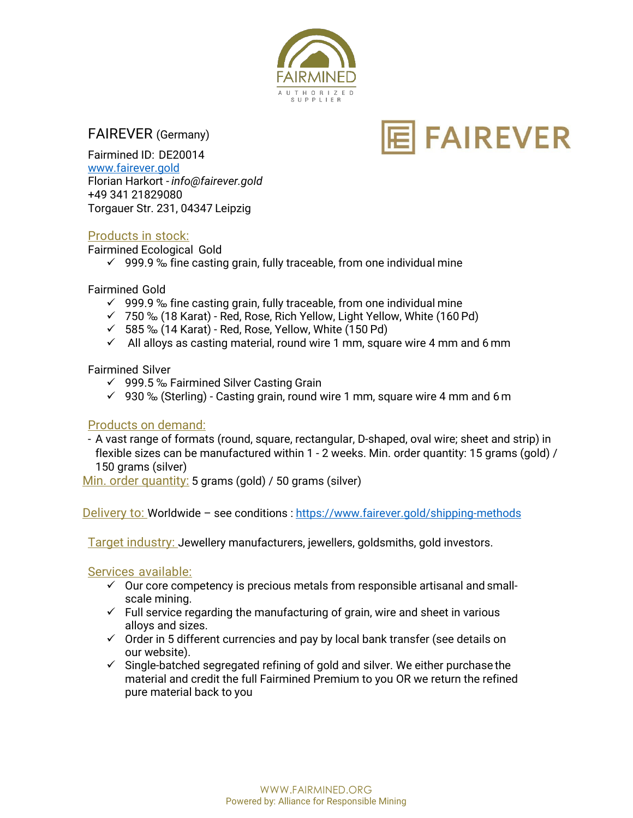

#### FAIREVER (Germany)

**FAIREVER** 

Fairmined ID: DE20014 www.fairever.gold Florian Harkort - *info@fairever.gold* +49 341 21829080 Torgauer Str. 231, 04347 Leipzig

#### Products in stock:

Fairmined Ecological Gold

 $\checkmark$  999.9 % fine casting grain, fully traceable, from one individual mine

Fairmined Gold

- $\checkmark$  999.9 % fine casting grain, fully traceable, from one individual mine
- $\checkmark$  750 % (18 Karat) Red, Rose, Rich Yellow, Light Yellow, White (160 Pd)
- $\checkmark$  585 % (14 Karat) Red, Rose, Yellow, White (150 Pd)
- $\checkmark$  All alloys as casting material, round wire 1 mm, square wire 4 mm and 6 mm

Fairmined Silver

- $\checkmark$  999.5 % Fairmined Silver Casting Grain
- $\checkmark$  930 % (Sterling) Casting grain, round wire 1 mm, square wire 4 mm and 6 m

#### Products on demand:

- A vast range of formats (round, square, rectangular, D-shaped, oval wire; sheet and strip) in flexible sizes can be manufactured within 1 - 2 weeks. Min. order quantity: 15 grams (gold) / 150 grams (silver)

Min. order quantity: 5 grams (gold) / 50 grams (silver)

Delivery to: Worldwide – see conditions : https://www.fairever.gold/shipping-methods

Target industry: Jewellery manufacturers, jewellers, goldsmiths, gold investors.

Services available:

- $\checkmark$  Our core competency is precious metals from responsible artisanal and smallscale mining.
- $\checkmark$  Full service regarding the manufacturing of grain, wire and sheet in various alloys and sizes.
- $\checkmark$  Order in 5 different currencies and pay by local bank transfer (see details on our website).
- $\checkmark$  Single-batched segregated refining of gold and silver. We either purchase the material and credit the full Fairmined Premium to you OR we return the refined pure material back to you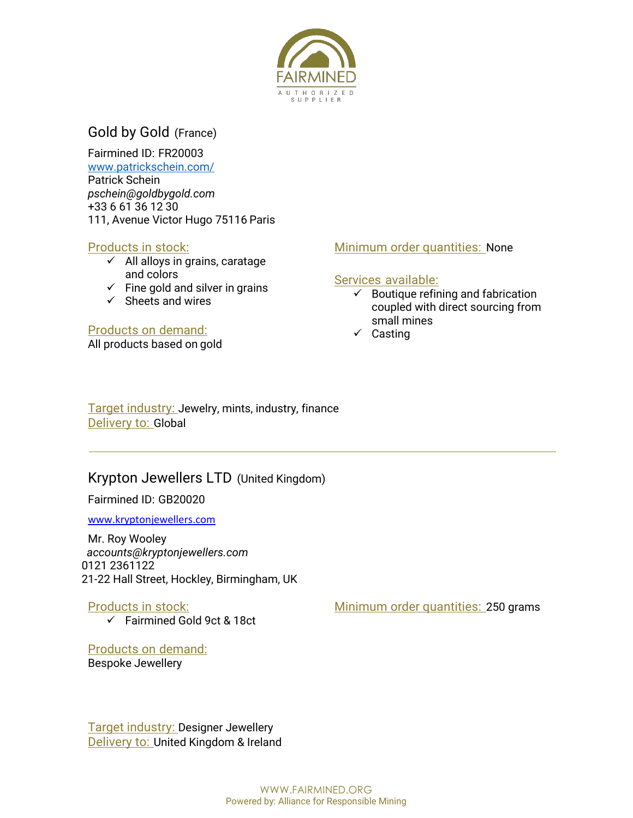

## Gold by Gold (France)

Fairmined ID: FR20003 www.patrickschein.com/ Patrick Schein *pschein@goldbygold.com* +33 6 61 36 12 30 111, Avenue Victor Hugo 75116 Paris

#### Products in stock:

- $\checkmark$  All alloys in grains, caratage and colors
- $\checkmark$  Fine gold and silver in grains
- $\checkmark$  Sheets and wires

#### Products on demand:

All products based on gold

#### Minimum order quantities: None

#### Services available:

- $\checkmark$  Boutique refining and fabrication coupled with direct sourcing from small mines
- $\checkmark$  Casting

Target industry: Jewelry, mints, industry, finance Delivery to: Global

#### Krypton Jewellers LTD (United Kingdom)

Fairmined ID: GB20020

www.kryptonjewellers.com

Mr. Roy Wooley *accounts@kryptonjewellers.com* 0121 2361122 21-22 Hall Street, Hockley, Birmingham, UK

Products in stock:

 $\checkmark$  Fairmined Gold 9ct & 18ct

Products on demand: Bespoke Jewellery

Minimum order quantities: 250 grams

Target industry: Designer Jewellery Delivery to: United Kingdom & Ireland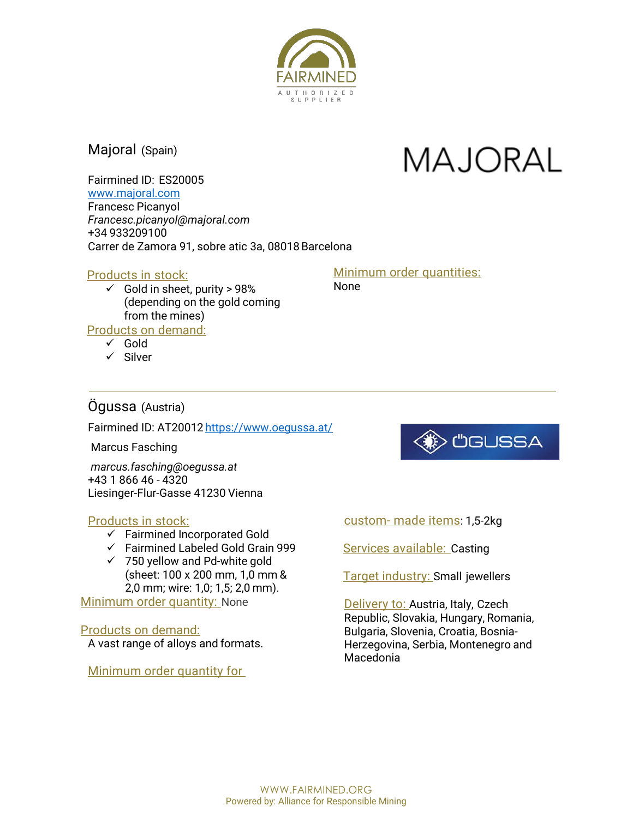

Majoral (Spain)

# **MAJORAL**

Fairmined ID: ES20005 www.majoral.com Francesc Picanyol

*Francesc.picanyol@majoral.com* +34 933209100 Carrer de Zamora 91, sobre atic 3a, 08018Barcelona

#### Products in stock:

 $\checkmark$  Gold in sheet, purity > 98% (depending on the gold coming from the mines)

Products on demand:

- $\checkmark$  Gold
- $\checkmark$  Silver

#### Minimum order quantities: None

## Ögussa (Austria)

Fairmined ID: AT20012 https://www.oegussa.at/

Marcus Fasching

*marcus.fasching@oegussa.at* +43 1 866 46 - 4320 Liesinger-Flur-Gasse 41230 Vienna

#### Products in stock:

- $\checkmark$  Fairmined Incorporated Gold
- $\checkmark$  Fairmined Labeled Gold Grain 999
- $\times$  750 yellow and Pd-white gold (sheet: 100 x 200 mm, 1,0 mm & 2,0 mm; wire: 1,0; 1,5; 2,0 mm).

Minimum order quantity: None

## Products on demand:

A vast range of alloys and formats.

Minimum order quantity for



custom- made items: 1,5-2kg

Services available: Casting

Target industry: Small jewellers

Delivery to: Austria, Italy, Czech Republic, Slovakia, Hungary, Romania, Bulgaria, Slovenia, Croatia, Bosnia-Herzegovina, Serbia, Montenegro and Macedonia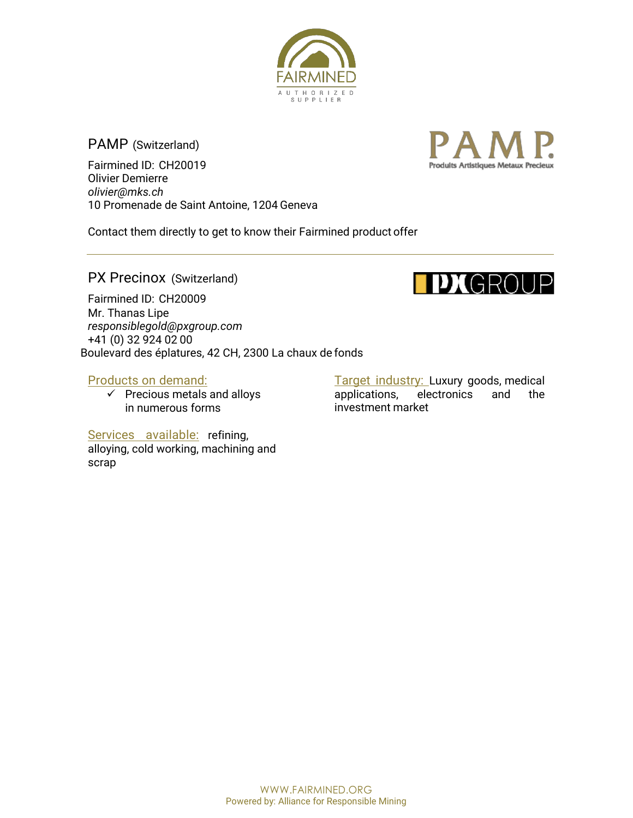

PAMP (Switzerland)

Fairmined ID: CH20019 Olivier Demierre *olivier@mks.ch* 10 Promenade de Saint Antoine, 1204 Geneva



Contact them directly to get to know their Fairmined product offer

PX Precinox (Switzerland)<br>
Fairmined ID: CH20009 Mr. Thanas Lipe *responsiblegold@pxgroup.com* +41 (0) 32 924 02 00 Boulevard des éplatures, 42 CH, 2300 La chaux de fonds

#### Products on demand:

 $\checkmark$  Precious metals and alloys in numerous forms

Target industry: Luxury goods, medical applications, electronics and the investment market

Services available: refining, alloying, cold working, machining and scrap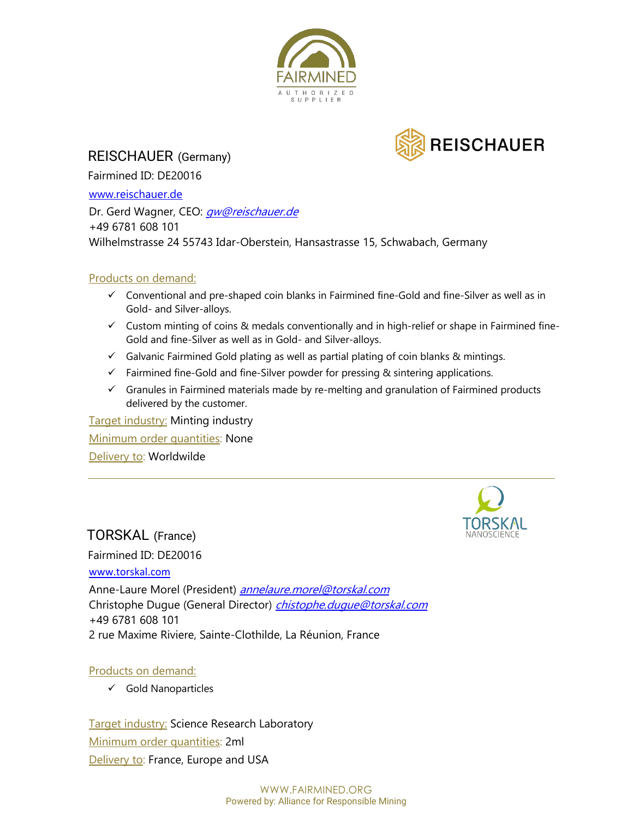



REISCHAUER (Germany)

Fairmined ID: DE20016

www.reischauer.de

Dr. Gerd Wagner, CEO: *gw@reischauer.de* +49 6781 608 101 Wilhelmstrasse 24 55743 Idar-Oberstein, Hansastrasse 15, Schwabach, Germany

#### Products on demand:

- $\checkmark$  Conventional and pre-shaped coin blanks in Fairmined fine-Gold and fine-Silver as well as in Gold- and Silver-alloys.
- $\checkmark$  Custom minting of coins & medals conventionally and in high-relief or shape in Fairmined fine-Gold and fine-Silver as well as in Gold- and Silver-alloys.
- $\checkmark$  Galvanic Fairmined Gold plating as well as partial plating of coin blanks & mintings.
- $\checkmark$  Fairmined fine-Gold and fine-Silver powder for pressing & sintering applications.
- $\checkmark$  Granules in Fairmined materials made by re-melting and granulation of Fairmined products delivered by the customer.

Target industry: Minting industry Minimum order quantities: None Delivery to: Worldwilde

## TORSKAL (France)

Fairmined ID: DE20016

www.torskal.com

Anne-Laure Morel (President) annelaure.morel@torskal.com Christophe Dugue (General Director) *chistophe.dugue@torskal.com* +49 6781 608 101 2 rue Maxime Riviere, Sainte-Clothilde, La Réunion, France

#### Products on demand:

 $\checkmark$  Gold Nanoparticles

**Target industry: Science Research Laboratory** Minimum order quantities: 2ml **Delivery to: France, Europe and USA**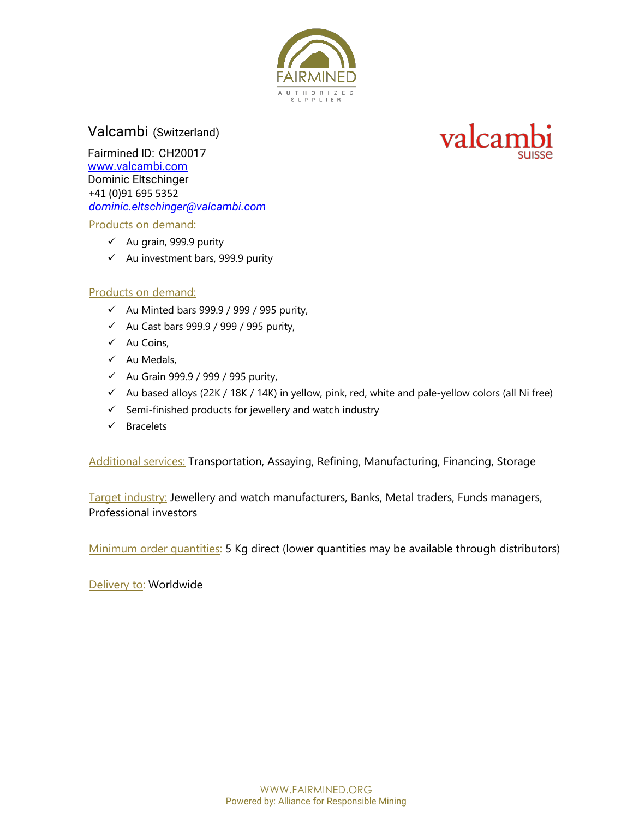

Valcambi (Switzerland)

Fairmined ID: CH20017 www.valcambi.com Dominic Eltschinger +41 (0)91 695 5352 *dominic.eltschinger@valcambi.com* 

Products on demand:

- $\checkmark$  Au grain, 999.9 purity
- $\checkmark$  Au investment bars, 999.9 purity

#### Products on demand:

- $\checkmark$  Au Minted bars 999.9 / 999 / 995 purity,
- $\checkmark$  Au Cast bars 999.9 / 999 / 995 purity,
- $\checkmark$  Au Coins,
- $\checkmark$  Au Medals,
- $\checkmark$  Au Grain 999.9 / 999 / 995 purity,
- $\checkmark$  Au based alloys (22K / 18K / 14K) in yellow, pink, red, white and pale-yellow colors (all Ni free)
- $\checkmark$  Semi-finished products for jewellery and watch industry
- $\checkmark$  Bracelets

Additional services: Transportation, Assaying, Refining, Manufacturing, Financing, Storage

Target industry: Jewellery and watch manufacturers, Banks, Metal traders, Funds managers, Professional investors

Minimum order quantities: 5 Kg direct (lower quantities may be available through distributors)

Delivery to: Worldwide

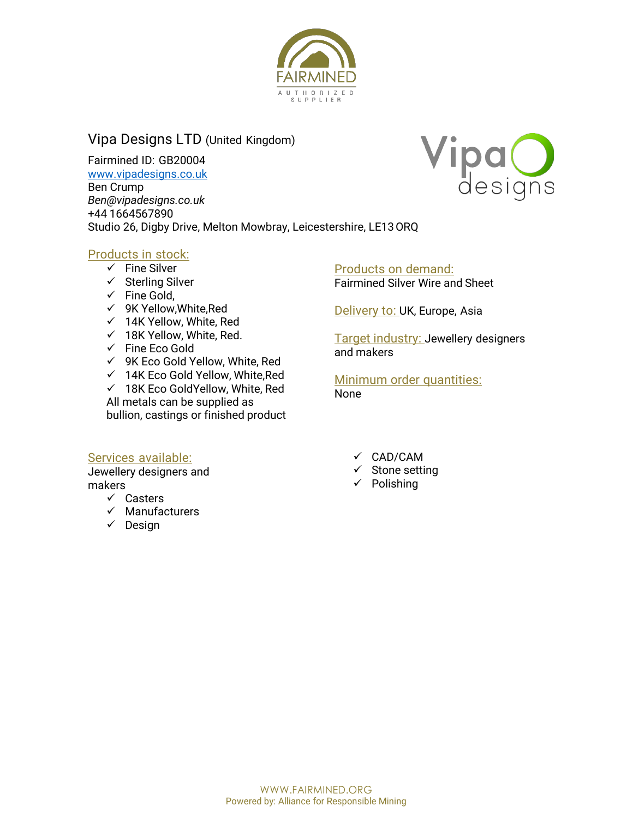

## Vipa Designs LTD (United Kingdom)

Fairmined ID: GB20004

www.vipadesigns.co.uk

Ben Crump *Ben@vipadesigns.co.uk*

+44 1664567890 Studio 26, Digby Drive, Melton Mowbray, Leicestershire, LE13ORQ

#### Products in stock:

- $\checkmark$  Fine Silver
- $\checkmark$  Sterling Silver
- $\checkmark$  Fine Gold,
- $\checkmark$  9K Yellow, White, Red
- $\times$  14K Yellow, White, Red
- $\times$  18K Yellow, White, Red.
- $\checkmark$  Fine Eco Gold
- $\checkmark$  9K Eco Gold Yellow, White, Red
- $\times$  14K Eco Gold Yellow, White, Red
- $\times$  18K Eco GoldYellow, White, Red

All metals can be supplied as bullion, castings or finished product

## Products on demand:

Fairmined Silver Wire and Sheet

Delivery to: UK, Europe, Asia

Target industry: Jewellery designers and makers

Minimum order quantities: None

#### Services available:

Jewellery designers and makers

- $\checkmark$  Casters
- $\checkmark$  Manufacturers
- $\checkmark$  Design

 $\checkmark$  CAD/CAM

- $\checkmark$  Stone setting
- $\checkmark$  Polishing

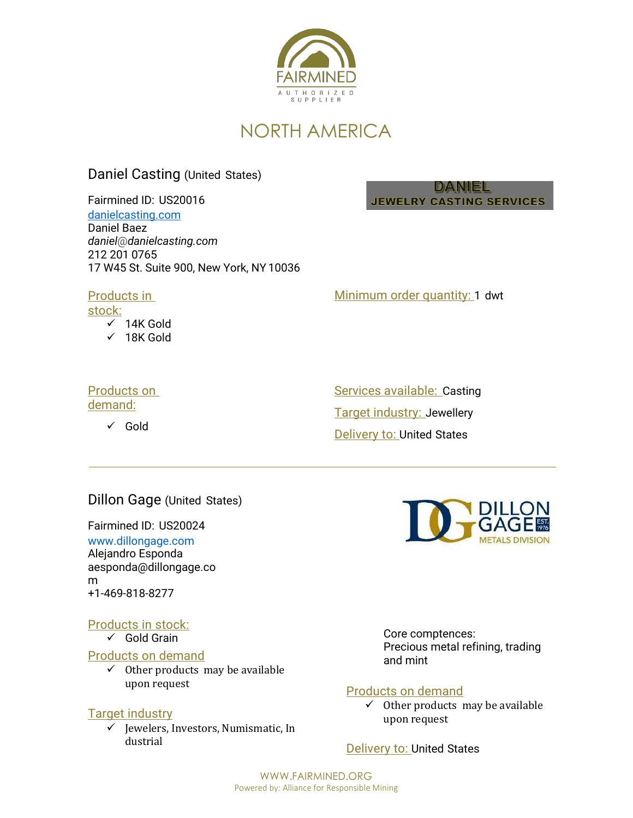

## NORTH AMERICA

### Daniel Casting (United States)

Fairmined ID: US20016

danielcasting.com Daniel Baez

*daniel*@*danielcasting.com* 212 201 0765 17 W45 St. Suite 900, New York, NY 10036

#### Products in

stock:

- $\times$  14K Gold
- $\times$  18K Gold

## Products on

demand:

 $\checkmark$  Gold

Minimum order quantity: 1 dwt

DANIEL **JEWELRY CASTING SERVICES** 

Services available: Casting Target industry: Jewellery **Delivery to: United States** 

#### Dillon Gage (United States)

Fairmined ID: US20024 www.dillongage.com Alejandro Esponda aesponda@dillongage.co m +1-469-818-8277

#### Products in stock:

 $\checkmark$  Gold Grain

#### Products on demand

 $\checkmark$  Other products may be available upon request

#### **Target industry**

 $\checkmark$  Jewelers, Investors, Numismatic, In dustrial



Core comptences: Precious metal refining, trading and mint

#### Products on demand

 $\checkmark$  Other products may be available upon request

Delivery to: United States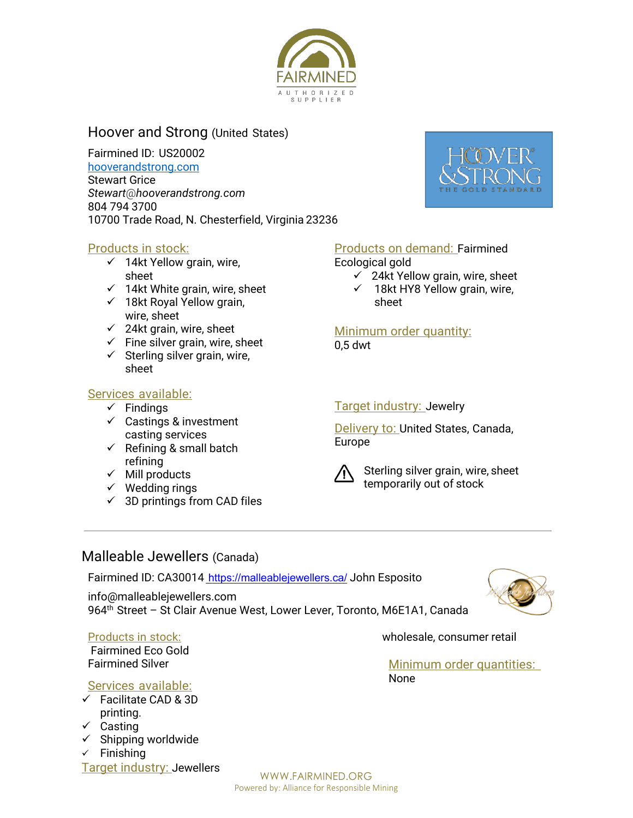

## Hoover and Strong (United States)

Fairmined ID: US20002 hooverandstrong.com Stewart Grice *Stewart*@*hooverandstrong.com* 804 794 3700 10700 Trade Road, N. Chesterfield, Virginia 23236



#### Products in stock:

- $\checkmark$  14kt Yellow grain, wire, sheet
- $\times$  14kt White grain, wire, sheet
- $\times$  18kt Royal Yellow grain, wire, sheet
- $\checkmark$  24kt grain, wire, sheet
- $\checkmark$  Fine silver grain, wire, sheet
- $\checkmark$  Sterling silver grain, wire, sheet

#### Services available:

- $\checkmark$  Findings
- $\checkmark$  Castings & investment casting services
- $\checkmark$  Refining & small batch refining
- $\checkmark$  Mill products
- $\checkmark$  Wedding rings
- $\checkmark$  3D printings from CAD files

#### Products on demand: Fairmined

Ecological gold

- $\checkmark$  24kt Yellow grain, wire, sheet
- $\times$  18kt HY8 Yellow grain, wire, sheet

Minimum order quantity:

0,5 dwt

#### Target industry: Jewelry

Delivery to: United States, Canada, Europe



 Sterling silver grain, wire, sheet temporarily out of stock

#### Malleable Jewellers (Canada)

Fairmined ID: CA30014 https://malleablejewellers.ca/ John Esposito

info@malleablejewellers.com 964<sup>th</sup> Street - St Clair Avenue West, Lower Lever, Toronto, M6E1A1, Canada



#### Products in stock:

Fairmined Eco Gold Fairmined Silver

#### Services available:

- $\checkmark$  Facilitate CAD & 3D printing.
- $\checkmark$  Casting
- $\checkmark$  Shipping worldwide

 $\checkmark$  Finishing Target industry: Jewellers wholesale, consumer retail

Minimum order quantities: None

WWW.FAIRMINED.ORG Powered by: Alliance for Responsible Mining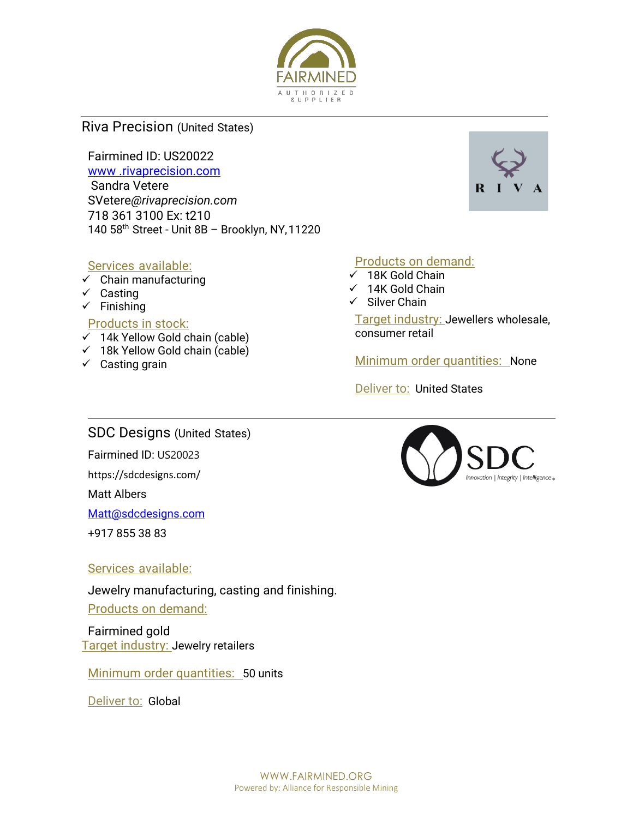

#### Riva Precision (United States)

Fairmined ID: US20022

www .rivaprecision.com Sandra Vetere SVetere*@rivaprecision.com* 718 361 3100 Ex: t210 140 58th Street - Unit 8B – Brooklyn, NY,11220

#### Services available:

- $\checkmark$  Chain manufacturing
- $\checkmark$  Casting
- $\checkmark$  Finishing

#### Products in stock:

- $\times$  14k Yellow Gold chain (cable)
- $\checkmark$  18k Yellow Gold chain (cable)
- $\checkmark$  Casting grain

#### Products on demand:

- $\times$  18K Gold Chain
- $\times$  14K Gold Chain
- $\checkmark$  Silver Chain

Target industry: Jewellers wholesale, consumer retail

Minimum order quantities: None

Deliver to: United States

### SDC Designs (United States)

Fairmined ID: US20023

https://sdcdesigns.com/

Matt Albers

Matt@sdcdesigns.com

+917 855 38 83

#### Services available:

Jewelry manufacturing, casting and finishing. Products on demand:

Fairmined gold Target industry: Jewelry retailers

Minimum order quantities: 50 units

Deliver to: Global



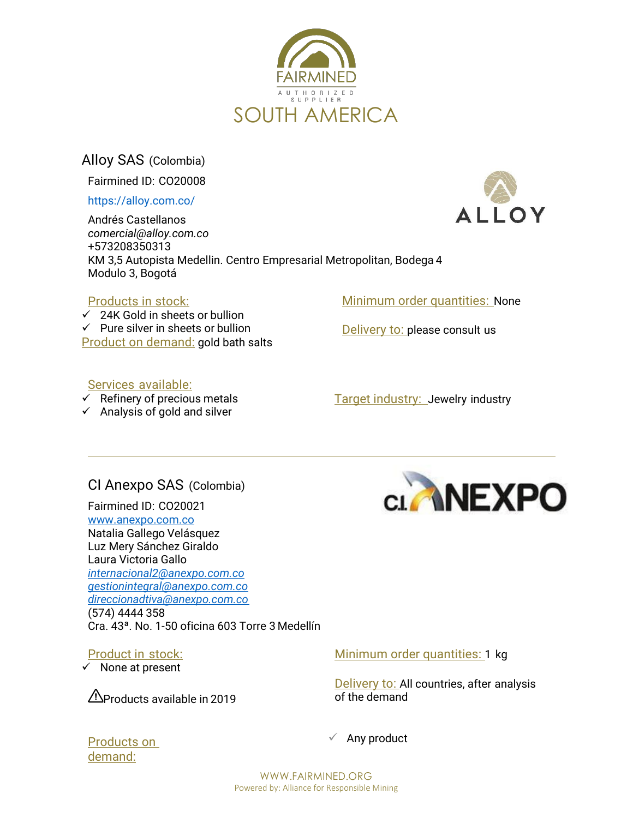

Alloy SAS (Colombia)

Fairmined ID: CO20008

https://alloy.com.co/

Andrés Castellanos *comercial@alloy.com.co* +573208350313 KM 3,5 Autopista Medellin. Centro Empresarial Metropolitan, Bodega 4 Modulo 3, Bogotá

#### Products in stock:

 $\checkmark$  24K Gold in sheets or bullion  $\checkmark$  Pure silver in sheets or bullion Product on demand: gold bath salts Minimum order quantities: None

Delivery to: please consult us

#### Services available:

- $\checkmark$  Refinery of precious metals
- $\checkmark$  Analysis of gold and silver

Target industry: Jewelry industry

## CI Anexpo SAS (Colombia)

Fairmined ID: CO20021 www.anexpo.com.co Natalia Gallego Velásquez Luz Mery Sánchez Giraldo Laura Victoria Gallo *internacional2@anexpo.com.co gestionintegral@anexpo.com.co direccionadtiva@anexpo.com.co* (574) 4444 358 Cra. 43ª. No. 1-50 oficina 603 Torre 3 Medellín

### Product in stock:

 $\checkmark$  None at present



LOY

Products available in 2019

Minimum order quantities: 1 kg

Delivery to: All countries, after analysis of the demand

 $\checkmark$  Any product

Products on demand:

> WWW.FAIRMINED.ORG Powered by: Alliance for Responsible Mining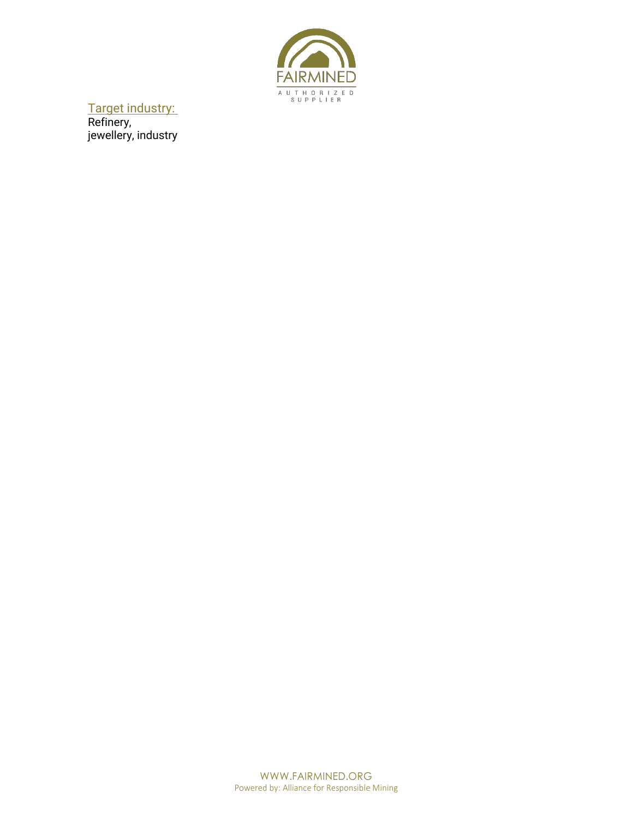

Target industry: Refinery, jewellery, industry